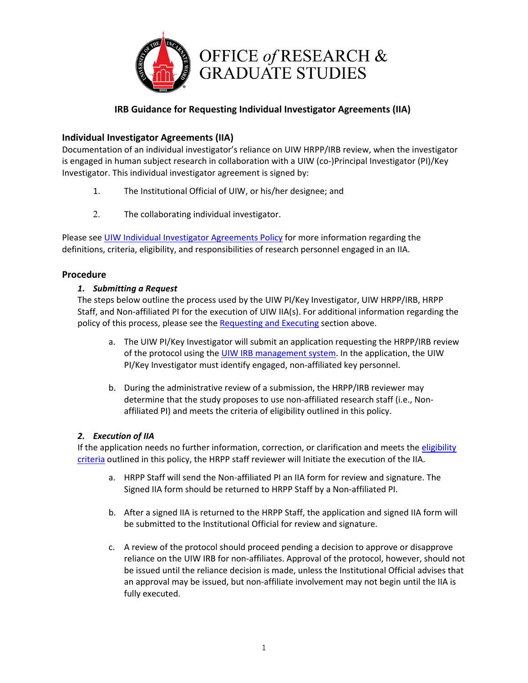

# **IRB Guidance for Requesting Individual Investigator Agreements (IIA)**

## **Individual Investigator Agreements (IIA)**

Documentation of an individual investigator's reliance on UIW HRPP/IRB review, when the investigator is engaged in human subject research in collaboration with a UIW (co-)Principal Investigator (PI)/Key Investigator. This individual investigator agreement is signed by:

- 1. The Institutional Official of UIW, or his/her designee; and
- 2. The collaborating individual investigator.

Please see [UIW Individual Investigator Agreements Policy](https://www.uiw.edu/orgs/_docs/irb/irb-iia-1.pdf) for more information regarding the definitions, criteria, eligibility, and responsibilities of research personnel engaged in an IIA.

### **Procedure**

### *1. Submitting a Request*

The steps below outline the process used by the UIW PI/Key Investigator, UIW HRPP/IRB, HRPP Staff, and Non-affiliated PI for the execution of UIW IIA(s). For additional information regarding the policy of this process, please see the [Requesting and Executing](https://www.uiw.edu/orgs/_docs/irb/irb-iia-1.pdf) section above.

- a. The UIW PI/Key Investigator will submit an application requesting the HRPP/IRB review of the protocol using the [UIW IRB management system.](https://uiw.forms.ethicalreviewmanager.com/) In the application, the UIW PI/Key Investigator must identify engaged, non-affiliated key personnel.
- b. During the administrative review of a submission, the HRPP/IRB reviewer may determine that the study proposes to use non-affiliated research staff (i.e., Nonaffiliated PI) and meets the criteria of eligibility outlined in this policy.

### *2. Execution of IIA*

If the application needs no further information, correction, or clarification and meets the [eligibility](https://www.uiw.edu/orgs/_docs/irb/irb-iia-1.pdf)  [criteria](https://www.uiw.edu/orgs/_docs/irb/irb-iia-1.pdf) outlined in this policy, the HRPP staff reviewer will Initiate the execution of the IIA.

- a. HRPP Staff will send the Non-affiliated PI an IIA form for review and signature. The Signed IIA form should be returned to HRPP Staff by a Non-affiliated PI.
- b. After a signed IIA is returned to the HRPP Staff, the application and signed IIA form will be submitted to the Institutional Official for review and signature.
- c. A review of the protocol should proceed pending a decision to approve or disapprove reliance on the UIW IRB for non-affiliates. Approval of the protocol, however, should not be issued until the reliance decision is made, unless the Institutional Official advises that an approval may be issued, but non-affiliate involvement may not begin until the IIA is fully executed.